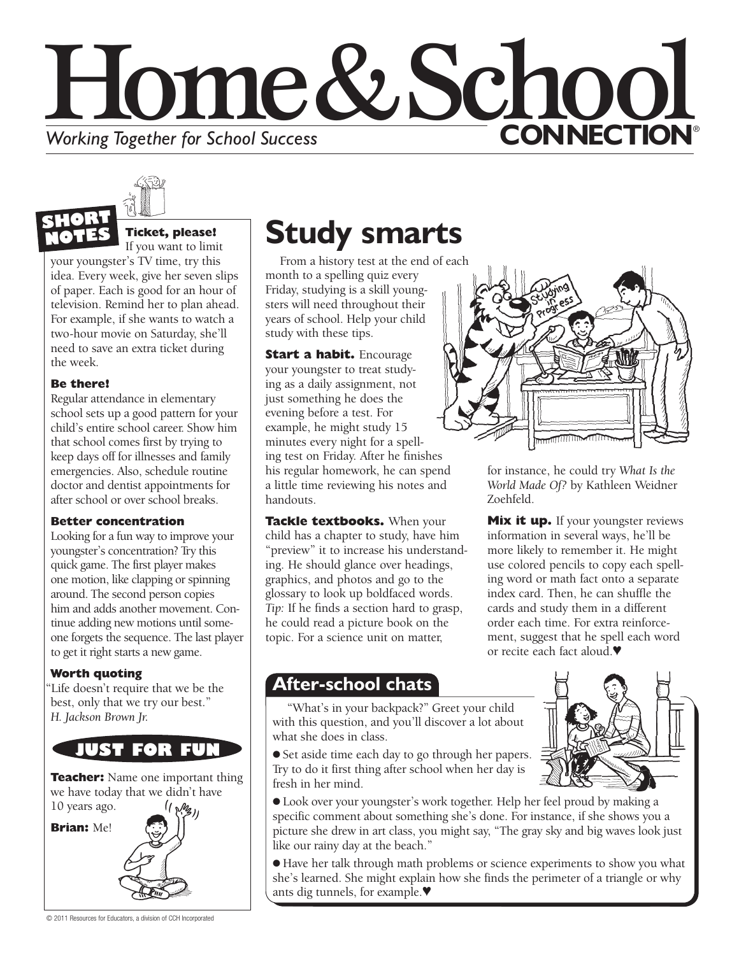# Home&Schoo **CONNECTION® Working Together for School Success**



## **Ticket, please!**

If you want to limit

your youngster's TV time, try this idea. Every week, give her seven slips of paper. Each is good for an hour of television. Remind her to plan ahead. For example, if she wants to watch a two-hour movie on Saturday, she'll need to save an extra ticket during the week.

### **Be there!**

Regular attendance in elementary school sets up a good pattern for your child's entire school career. Show him that school comes first by trying to keep days off for illnesses and family emergencies. Also, schedule routine doctor and dentist appointments for after school or over school breaks.

#### **Better concentration**

Looking for a fun way to improve your youngster's concentration? Try this quick game. The first player makes one motion, like clapping or spinning around. The second person copies him and adds another movement. Continue adding new motions until someone forgets the sequence. The last player to get it right starts a new game.

### **Worth quoting**

"Life doesn't require that we be the best, only that we try our best." *H. Jackson Brown Jr.*



© 2011 Resources for Educators, a division of CCH Incorporated

## **Study smarts**

From a history test at the end of each

month to a spelling quiz every Friday, studying is a skill youngsters will need throughout their years of school. Help your child study with these tips.

**Start a habit.** Encourage your youngster to treat studying as a daily assignment, not just something he does the evening before a test. For example, he might study 15 minutes every night for a spelling test on Friday. After he finishes his regular homework, he can spend a little time reviewing his notes and handouts.

**Tackle textbooks.** When your child has a chapter to study, have him "preview" it to increase his understanding. He should glance over headings, graphics, and photos and go to the glossary to look up boldfaced words. *Tip:* If he finds a section hard to grasp, he could read a picture book on the topic. For a science unit on matter,



for instance, he could try *What Is the World Made Of?* by Kathleen Weidner Zoehfeld.

**Mix it up.** If your youngster reviews information in several ways, he'll be more likely to remember it. He might use colored pencils to copy each spelling word or math fact onto a separate index card. Then, he can shuffle the cards and study them in a different order each time. For extra reinforcement, suggest that he spell each word or recite each fact aloud.♥

### **After-school chats**

"What's in your backpack?" Greet your child with this question, and you'll discover a lot about what she does in class.

● Set aside time each day to go through her papers. Try to do it first thing after school when her day is fresh in her mind.



● Look over your youngster's work together. Help her feel proud by making a specific comment about something she's done. For instance, if she shows you a picture she drew in art class, you might say, "The gray sky and big waves look just like our rainy day at the beach."

● Have her talk through math problems or science experiments to show you what she's learned. She might explain how she finds the perimeter of a triangle or why ants dig tunnels, for example.♥